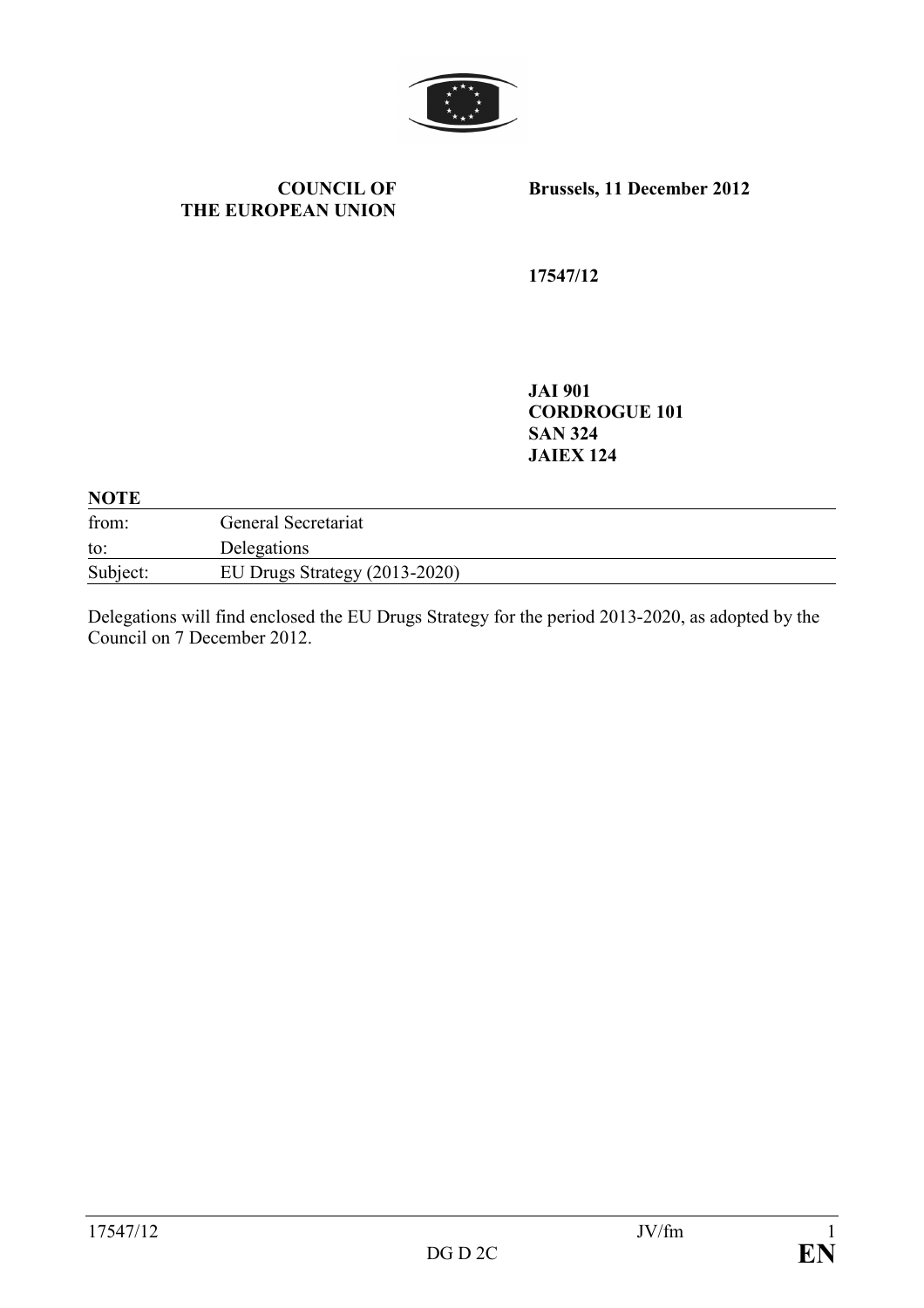

#### **COUNCIL OF THE EUROPEAN UNION**

**Brussels, 11 December 2012** 

**17547/12** 

**JAI 901 CORDROGUE 101 SAN 324 JAIEX 124** 

#### **NOTE**

| from:    | General Secretariat             |
|----------|---------------------------------|
| to:      | Delegations                     |
| Subject: | EU Drugs Strategy $(2013-2020)$ |

Delegations will find enclosed the EU Drugs Strategy for the period 2013-2020, as adopted by the Council on 7 December 2012.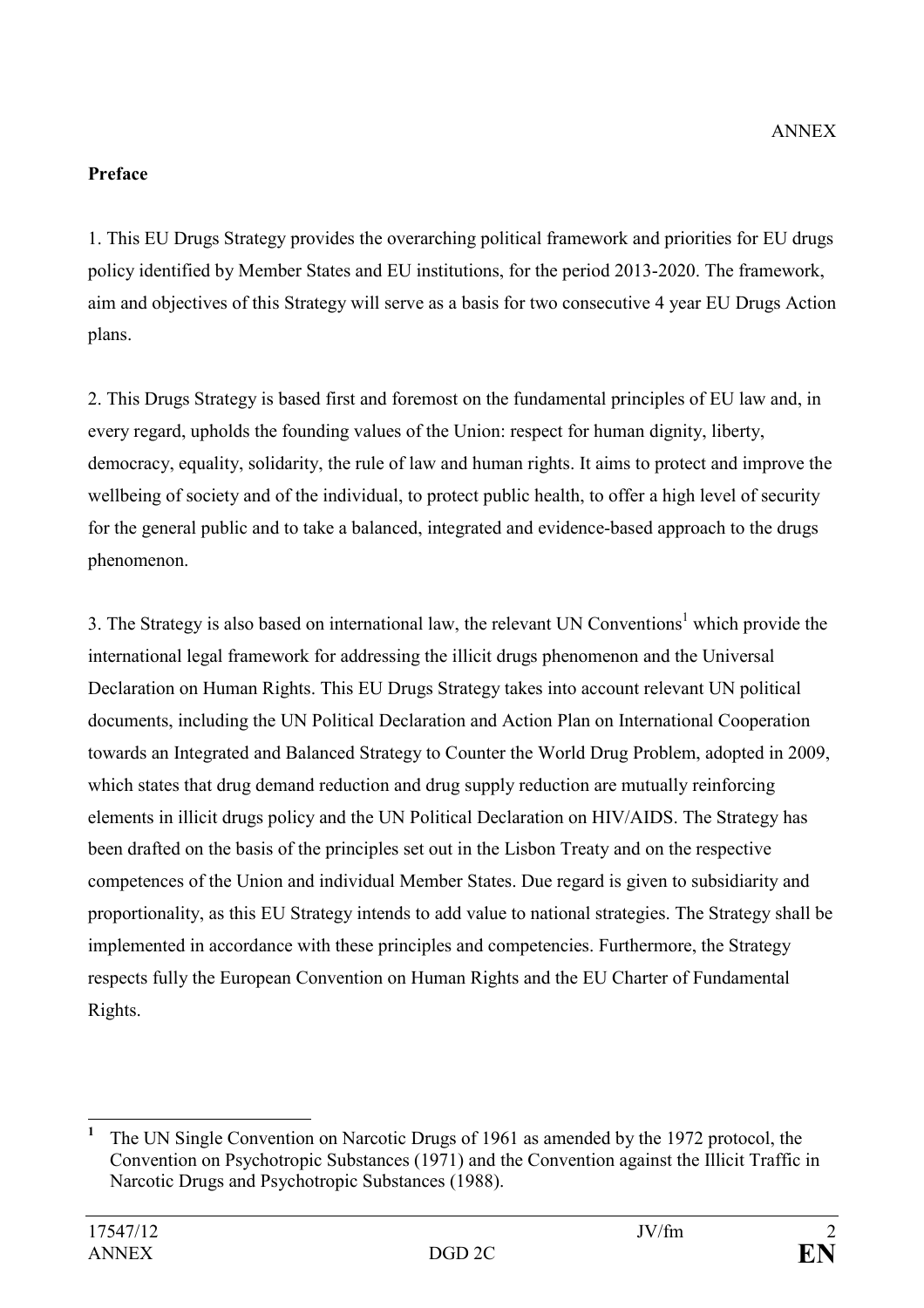# **Preface**

1. This EU Drugs Strategy provides the overarching political framework and priorities for EU drugs policy identified by Member States and EU institutions, for the period 2013-2020. The framework, aim and objectives of this Strategy will serve as a basis for two consecutive 4 year EU Drugs Action plans.

2. This Drugs Strategy is based first and foremost on the fundamental principles of EU law and, in every regard, upholds the founding values of the Union: respect for human dignity, liberty, democracy, equality, solidarity, the rule of law and human rights. It aims to protect and improve the wellbeing of society and of the individual, to protect public health, to offer a high level of security for the general public and to take a balanced, integrated and evidence-based approach to the drugs phenomenon.

3. The Strategy is also based on international law, the relevant UN Conventions<sup>1</sup> which provide the international legal framework for addressing the illicit drugs phenomenon and the Universal Declaration on Human Rights. This EU Drugs Strategy takes into account relevant UN political documents, including the UN Political Declaration and Action Plan on International Cooperation towards an Integrated and Balanced Strategy to Counter the World Drug Problem, adopted in 2009, which states that drug demand reduction and drug supply reduction are mutually reinforcing elements in illicit drugs policy and the UN Political Declaration on HIV/AIDS. The Strategy has been drafted on the basis of the principles set out in the Lisbon Treaty and on the respective competences of the Union and individual Member States. Due regard is given to subsidiarity and proportionality, as this EU Strategy intends to add value to national strategies. The Strategy shall be implemented in accordance with these principles and competencies. Furthermore, the Strategy respects fully the European Convention on Human Rights and the EU Charter of Fundamental Rights.

 $\overline{a}$ **1** The UN Single Convention on Narcotic Drugs of 1961 as amended by the 1972 protocol, the Convention on Psychotropic Substances (1971) and the Convention against the Illicit Traffic in Narcotic Drugs and Psychotropic Substances (1988).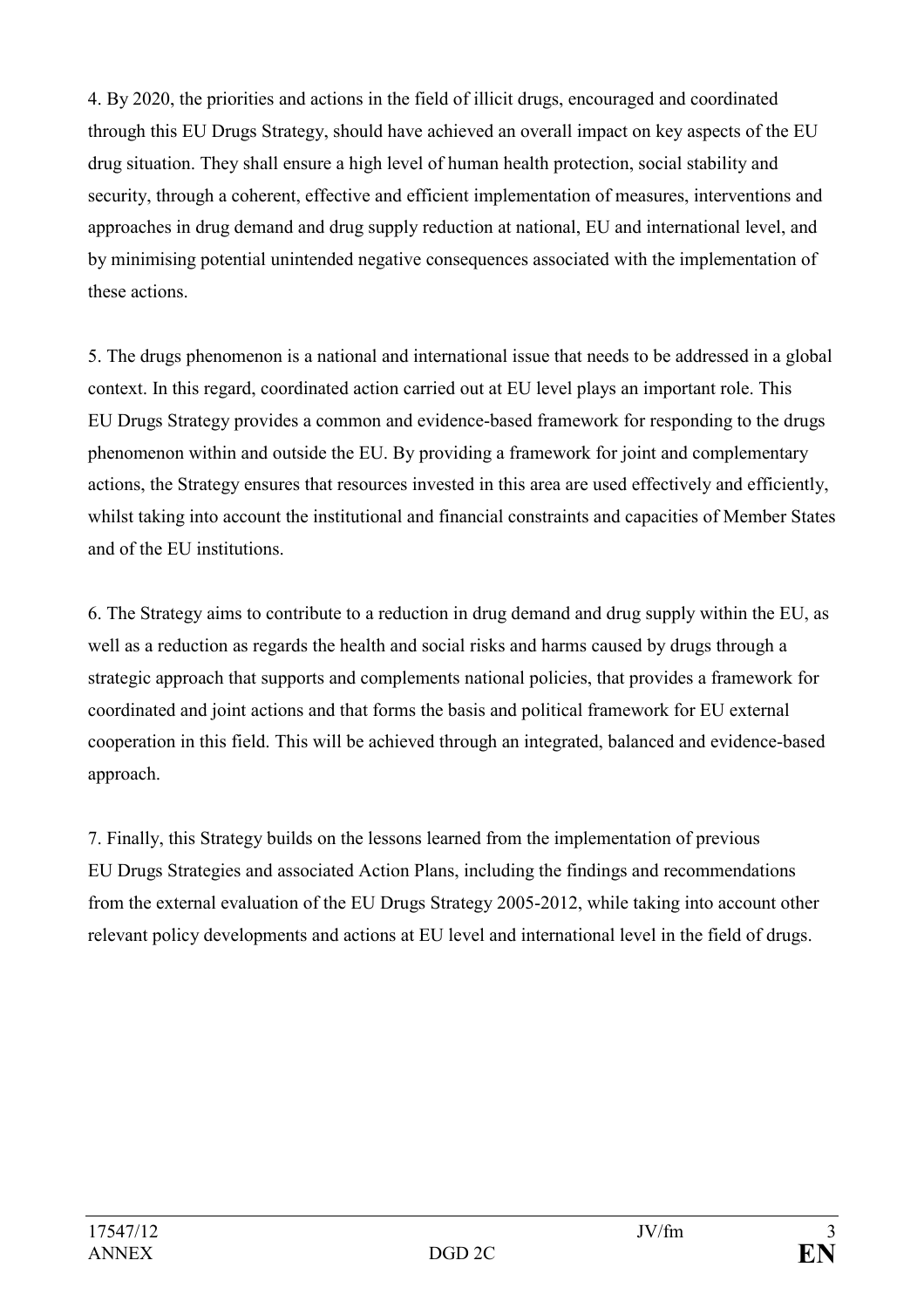4. By 2020, the priorities and actions in the field of illicit drugs, encouraged and coordinated through this EU Drugs Strategy, should have achieved an overall impact on key aspects of the EU drug situation. They shall ensure a high level of human health protection, social stability and security, through a coherent, effective and efficient implementation of measures, interventions and approaches in drug demand and drug supply reduction at national, EU and international level, and by minimising potential unintended negative consequences associated with the implementation of these actions.

5. The drugs phenomenon is a national and international issue that needs to be addressed in a global context. In this regard, coordinated action carried out at EU level plays an important role. This EU Drugs Strategy provides a common and evidence-based framework for responding to the drugs phenomenon within and outside the EU. By providing a framework for joint and complementary actions, the Strategy ensures that resources invested in this area are used effectively and efficiently, whilst taking into account the institutional and financial constraints and capacities of Member States and of the EU institutions.

6. The Strategy aims to contribute to a reduction in drug demand and drug supply within the EU, as well as a reduction as regards the health and social risks and harms caused by drugs through a strategic approach that supports and complements national policies, that provides a framework for coordinated and joint actions and that forms the basis and political framework for EU external cooperation in this field. This will be achieved through an integrated, balanced and evidence-based approach.

7. Finally, this Strategy builds on the lessons learned from the implementation of previous EU Drugs Strategies and associated Action Plans, including the findings and recommendations from the external evaluation of the EU Drugs Strategy 2005-2012, while taking into account other relevant policy developments and actions at EU level and international level in the field of drugs.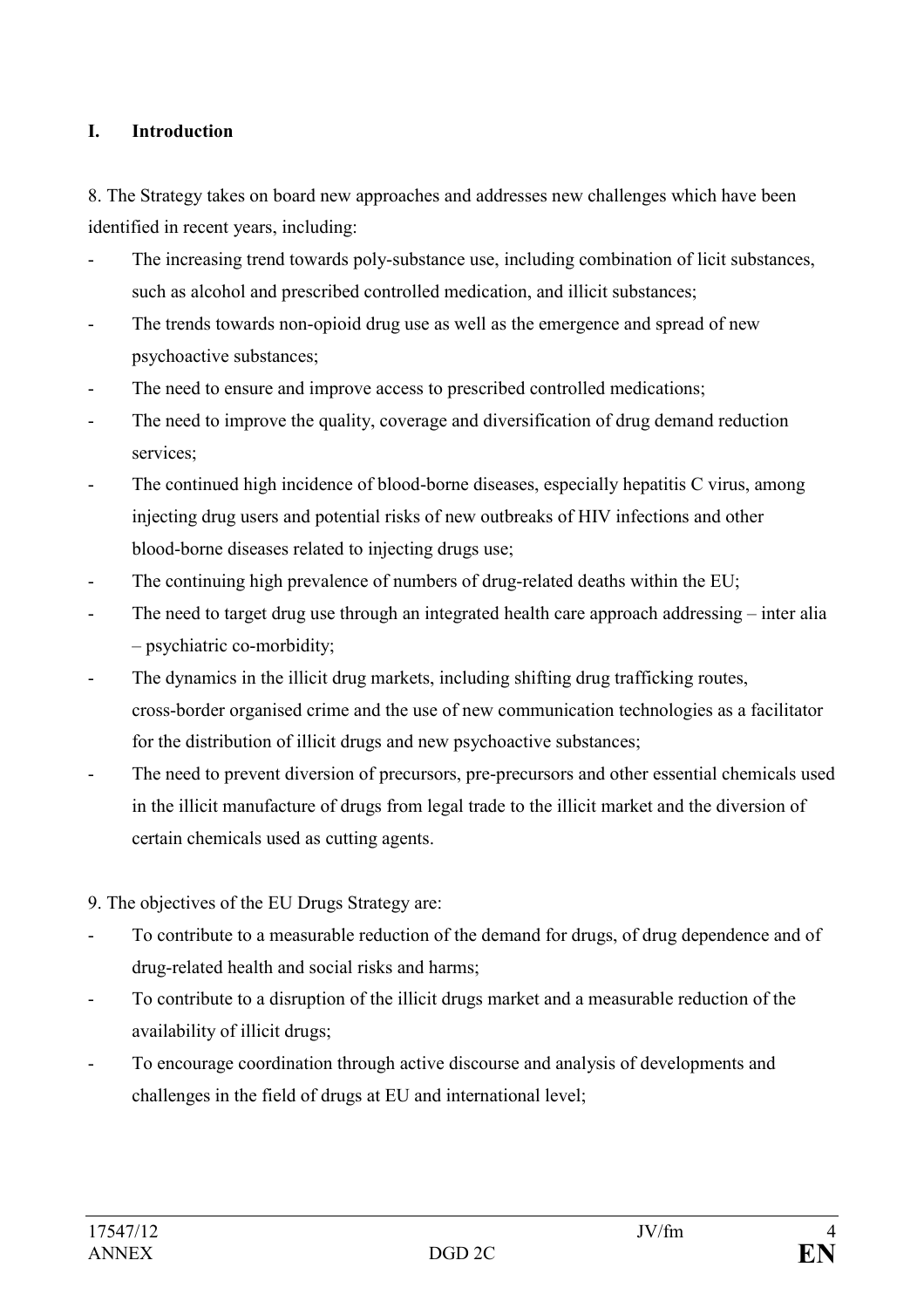### **I. Introduction**

8. The Strategy takes on board new approaches and addresses new challenges which have been identified in recent years, including:

- The increasing trend towards poly-substance use, including combination of licit substances, such as alcohol and prescribed controlled medication, and illicit substances;
- The trends towards non-opioid drug use as well as the emergence and spread of new psychoactive substances;
- The need to ensure and improve access to prescribed controlled medications;
- The need to improve the quality, coverage and diversification of drug demand reduction services;
- The continued high incidence of blood-borne diseases, especially hepatitis C virus, among injecting drug users and potential risks of new outbreaks of HIV infections and other blood-borne diseases related to injecting drugs use;
- The continuing high prevalence of numbers of drug-related deaths within the EU;
- The need to target drug use through an integrated health care approach addressing inter alia – psychiatric co-morbidity;
- The dynamics in the illicit drug markets, including shifting drug trafficking routes, cross-border organised crime and the use of new communication technologies as a facilitator for the distribution of illicit drugs and new psychoactive substances;
- The need to prevent diversion of precursors, pre-precursors and other essential chemicals used in the illicit manufacture of drugs from legal trade to the illicit market and the diversion of certain chemicals used as cutting agents.
- 9. The objectives of the EU Drugs Strategy are:
- To contribute to a measurable reduction of the demand for drugs, of drug dependence and of drug-related health and social risks and harms;
- To contribute to a disruption of the illicit drugs market and a measurable reduction of the availability of illicit drugs;
- To encourage coordination through active discourse and analysis of developments and challenges in the field of drugs at EU and international level;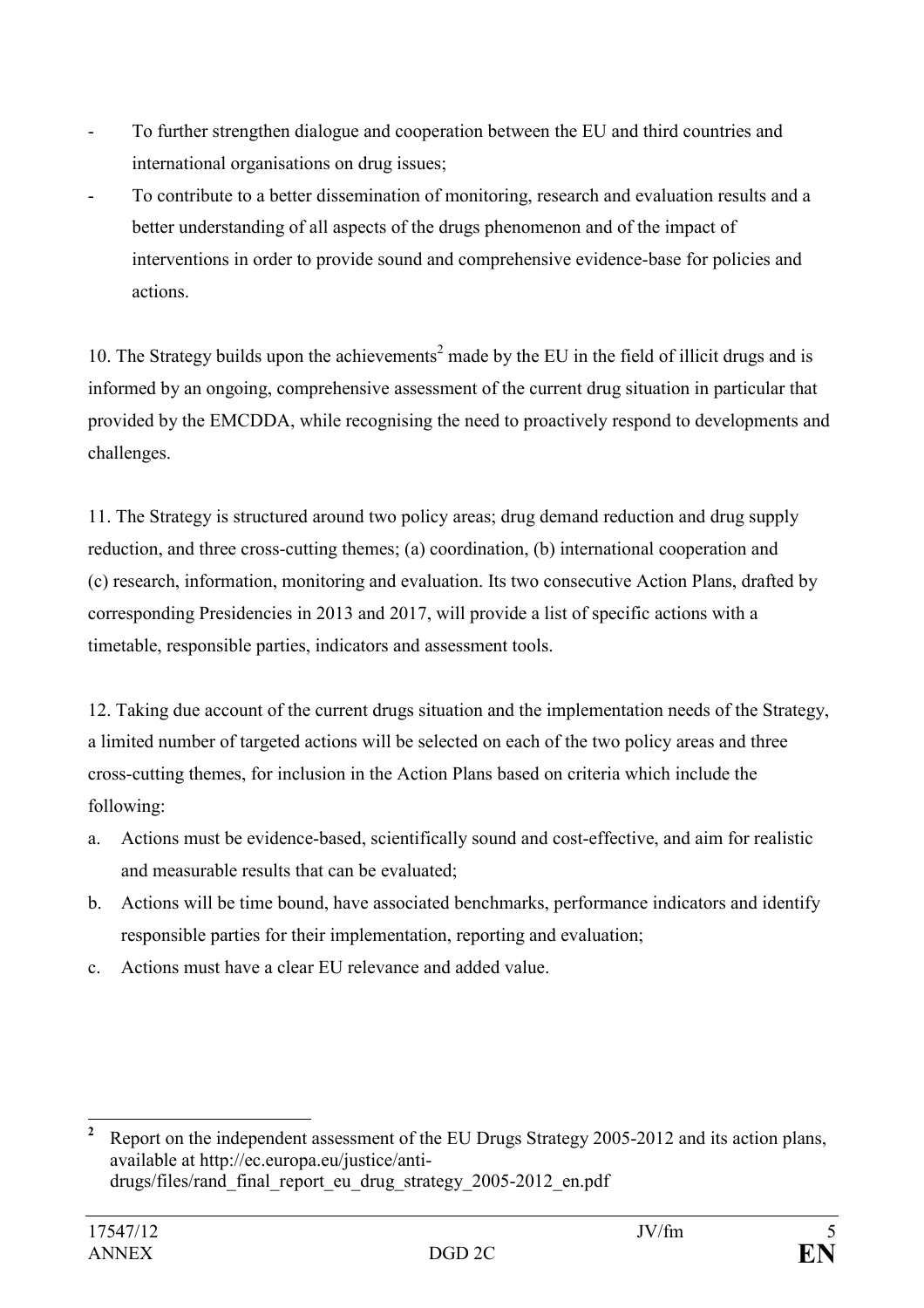- To further strengthen dialogue and cooperation between the EU and third countries and international organisations on drug issues;
- To contribute to a better dissemination of monitoring, research and evaluation results and a better understanding of all aspects of the drugs phenomenon and of the impact of interventions in order to provide sound and comprehensive evidence-base for policies and actions.

10. The Strategy builds upon the achievements<sup>2</sup> made by the EU in the field of illicit drugs and is informed by an ongoing, comprehensive assessment of the current drug situation in particular that provided by the EMCDDA, while recognising the need to proactively respond to developments and challenges.

11. The Strategy is structured around two policy areas; drug demand reduction and drug supply reduction, and three cross-cutting themes; (a) coordination, (b) international cooperation and (c) research, information, monitoring and evaluation. Its two consecutive Action Plans, drafted by corresponding Presidencies in 2013 and 2017, will provide a list of specific actions with a timetable, responsible parties, indicators and assessment tools.

12. Taking due account of the current drugs situation and the implementation needs of the Strategy, a limited number of targeted actions will be selected on each of the two policy areas and three cross-cutting themes, for inclusion in the Action Plans based on criteria which include the following:

- a. Actions must be evidence-based, scientifically sound and cost-effective, and aim for realistic and measurable results that can be evaluated;
- b. Actions will be time bound, have associated benchmarks, performance indicators and identify responsible parties for their implementation, reporting and evaluation;
- c. Actions must have a clear EU relevance and added value.

 **2** Report on the independent assessment of the EU Drugs Strategy 2005-2012 and its action plans, available at http://ec.europa.eu/justice/antidrugs/files/rand\_final\_report\_eu\_drug\_strategy\_2005-2012\_en.pdf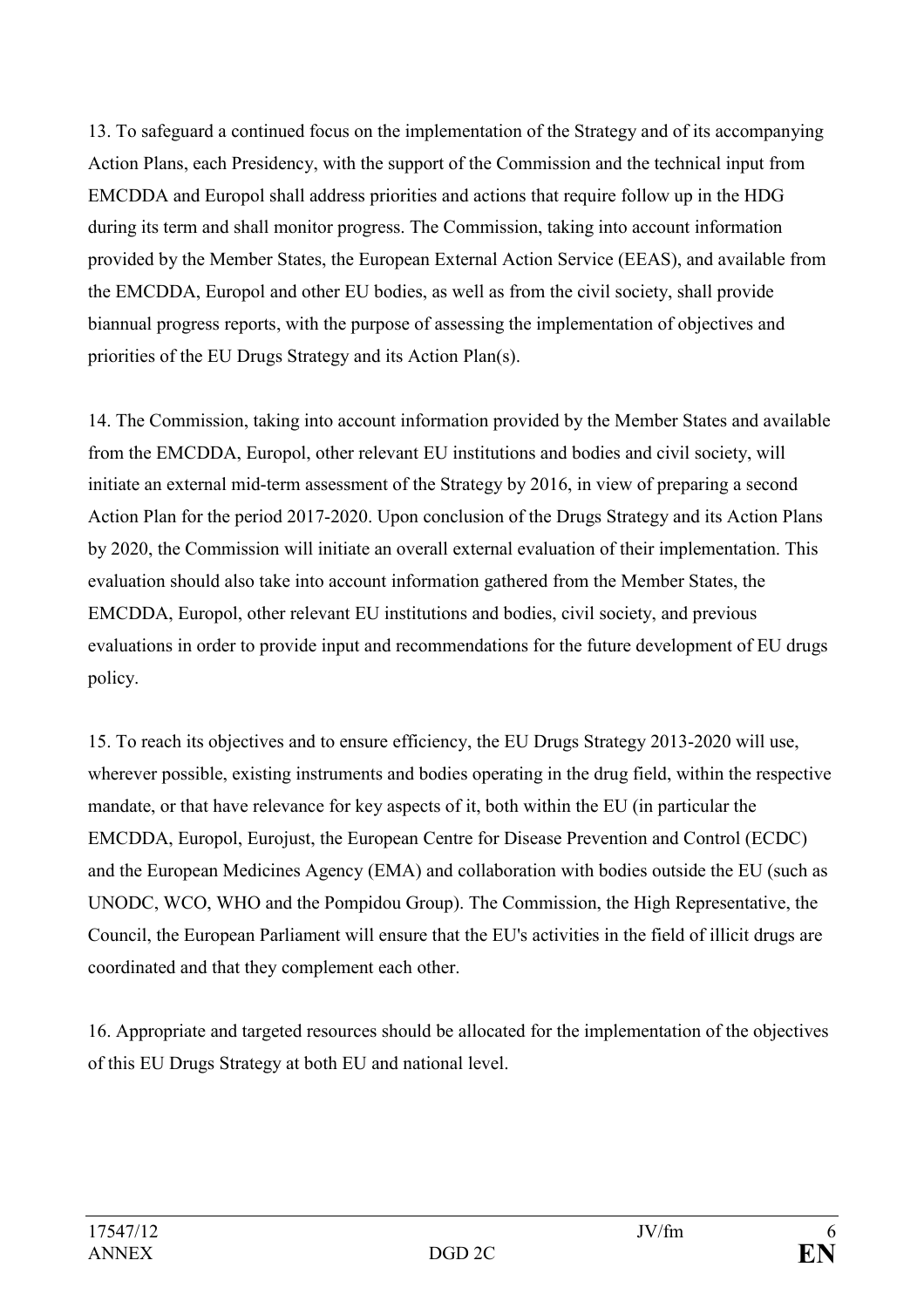13. To safeguard a continued focus on the implementation of the Strategy and of its accompanying Action Plans, each Presidency, with the support of the Commission and the technical input from EMCDDA and Europol shall address priorities and actions that require follow up in the HDG during its term and shall monitor progress. The Commission, taking into account information provided by the Member States, the European External Action Service (EEAS), and available from the EMCDDA, Europol and other EU bodies, as well as from the civil society, shall provide biannual progress reports, with the purpose of assessing the implementation of objectives and priorities of the EU Drugs Strategy and its Action Plan(s).

14. The Commission, taking into account information provided by the Member States and available from the EMCDDA, Europol, other relevant EU institutions and bodies and civil society, will initiate an external mid-term assessment of the Strategy by 2016, in view of preparing a second Action Plan for the period 2017-2020. Upon conclusion of the Drugs Strategy and its Action Plans by 2020, the Commission will initiate an overall external evaluation of their implementation. This evaluation should also take into account information gathered from the Member States, the EMCDDA, Europol, other relevant EU institutions and bodies, civil society, and previous evaluations in order to provide input and recommendations for the future development of EU drugs policy.

15. To reach its objectives and to ensure efficiency, the EU Drugs Strategy 2013-2020 will use, wherever possible, existing instruments and bodies operating in the drug field, within the respective mandate, or that have relevance for key aspects of it, both within the EU (in particular the EMCDDA, Europol, Eurojust, the European Centre for Disease Prevention and Control (ECDC) and the European Medicines Agency (EMA) and collaboration with bodies outside the EU (such as UNODC, WCO, WHO and the Pompidou Group). The Commission, the High Representative, the Council, the European Parliament will ensure that the EU's activities in the field of illicit drugs are coordinated and that they complement each other.

16. Appropriate and targeted resources should be allocated for the implementation of the objectives of this EU Drugs Strategy at both EU and national level.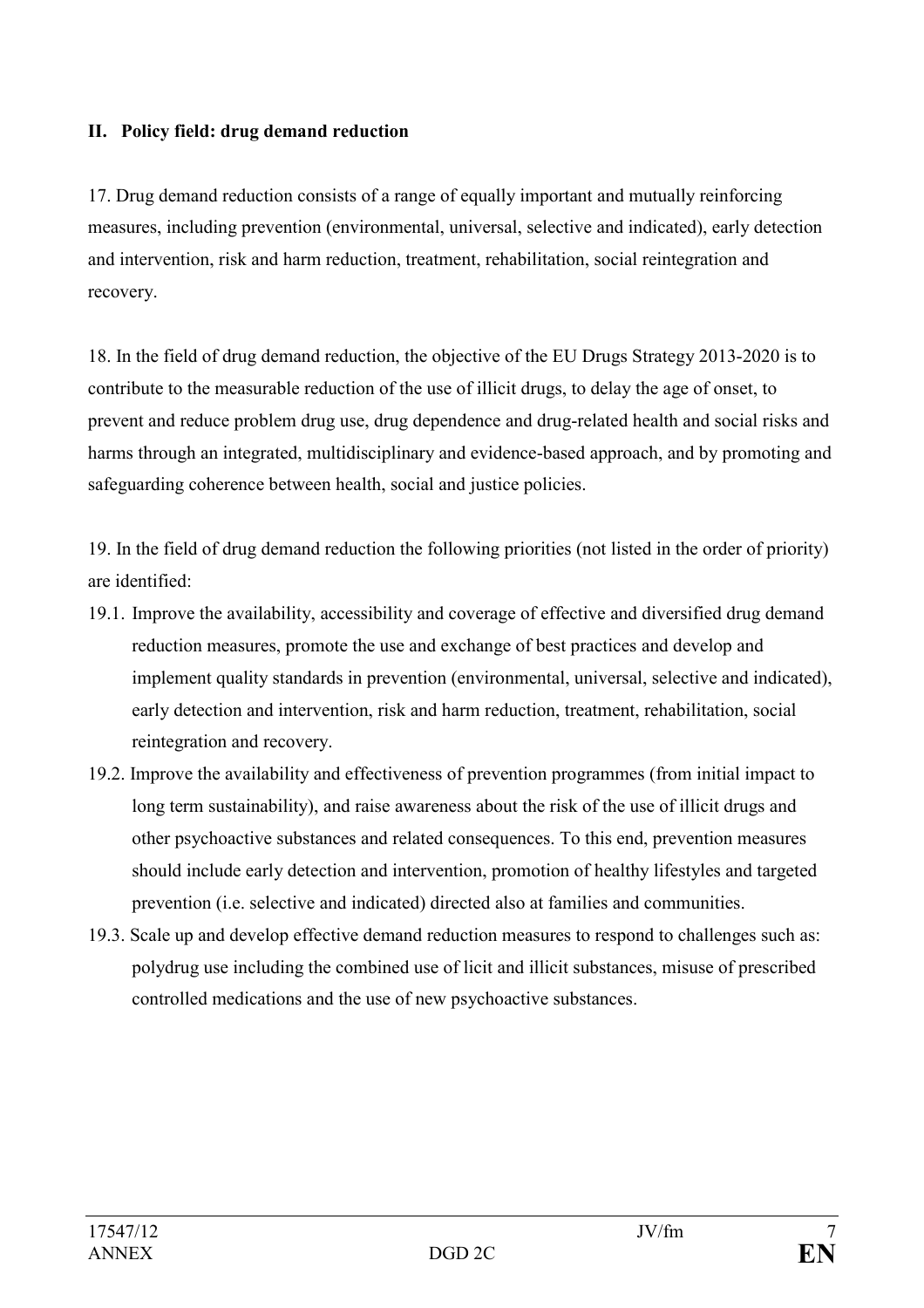### **II. Policy field: drug demand reduction**

17. Drug demand reduction consists of a range of equally important and mutually reinforcing measures, including prevention (environmental, universal, selective and indicated), early detection and intervention, risk and harm reduction, treatment, rehabilitation, social reintegration and recovery.

18. In the field of drug demand reduction, the objective of the EU Drugs Strategy 2013-2020 is to contribute to the measurable reduction of the use of illicit drugs, to delay the age of onset, to prevent and reduce problem drug use, drug dependence and drug-related health and social risks and harms through an integrated, multidisciplinary and evidence-based approach, and by promoting and safeguarding coherence between health, social and justice policies.

19. In the field of drug demand reduction the following priorities (not listed in the order of priority) are identified:

- 19.1. Improve the availability, accessibility and coverage of effective and diversified drug demand reduction measures, promote the use and exchange of best practices and develop and implement quality standards in prevention (environmental, universal, selective and indicated), early detection and intervention, risk and harm reduction, treatment, rehabilitation, social reintegration and recovery.
- 19.2. Improve the availability and effectiveness of prevention programmes (from initial impact to long term sustainability), and raise awareness about the risk of the use of illicit drugs and other psychoactive substances and related consequences. To this end, prevention measures should include early detection and intervention, promotion of healthy lifestyles and targeted prevention (i.e. selective and indicated) directed also at families and communities.
- 19.3. Scale up and develop effective demand reduction measures to respond to challenges such as: polydrug use including the combined use of licit and illicit substances, misuse of prescribed controlled medications and the use of new psychoactive substances.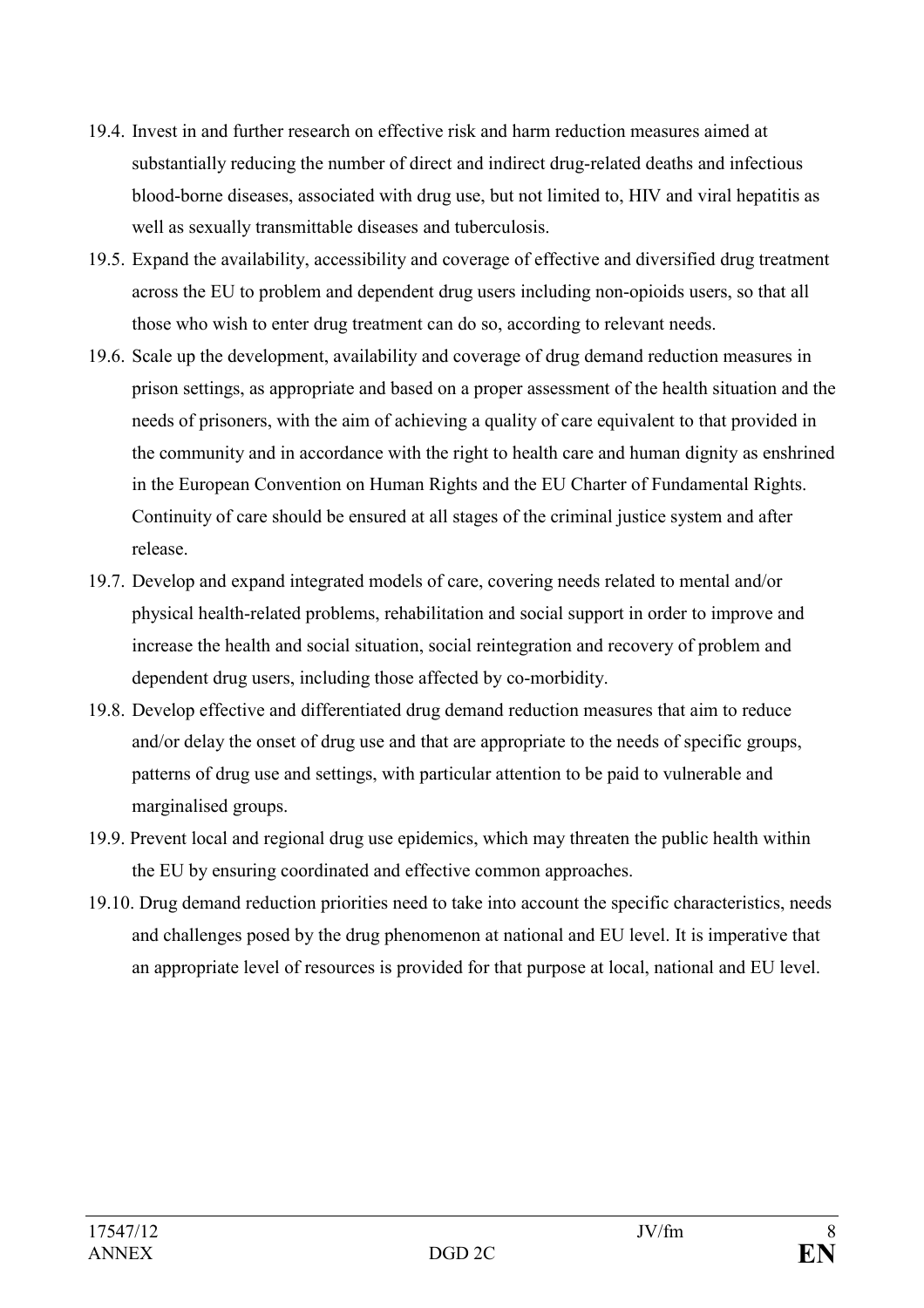- 19.4. Invest in and further research on effective risk and harm reduction measures aimed at substantially reducing the number of direct and indirect drug-related deaths and infectious blood-borne diseases, associated with drug use, but not limited to, HIV and viral hepatitis as well as sexually transmittable diseases and tuberculosis.
- 19.5. Expand the availability, accessibility and coverage of effective and diversified drug treatment across the EU to problem and dependent drug users including non-opioids users, so that all those who wish to enter drug treatment can do so, according to relevant needs.
- 19.6. Scale up the development, availability and coverage of drug demand reduction measures in prison settings, as appropriate and based on a proper assessment of the health situation and the needs of prisoners, with the aim of achieving a quality of care equivalent to that provided in the community and in accordance with the right to health care and human dignity as enshrined in the European Convention on Human Rights and the EU Charter of Fundamental Rights. Continuity of care should be ensured at all stages of the criminal justice system and after release.
- 19.7. Develop and expand integrated models of care, covering needs related to mental and/or physical health-related problems, rehabilitation and social support in order to improve and increase the health and social situation, social reintegration and recovery of problem and dependent drug users, including those affected by co-morbidity.
- 19.8. Develop effective and differentiated drug demand reduction measures that aim to reduce and/or delay the onset of drug use and that are appropriate to the needs of specific groups, patterns of drug use and settings, with particular attention to be paid to vulnerable and marginalised groups.
- 19.9. Prevent local and regional drug use epidemics, which may threaten the public health within the EU by ensuring coordinated and effective common approaches.
- 19.10. Drug demand reduction priorities need to take into account the specific characteristics, needs and challenges posed by the drug phenomenon at national and EU level. It is imperative that an appropriate level of resources is provided for that purpose at local, national and EU level.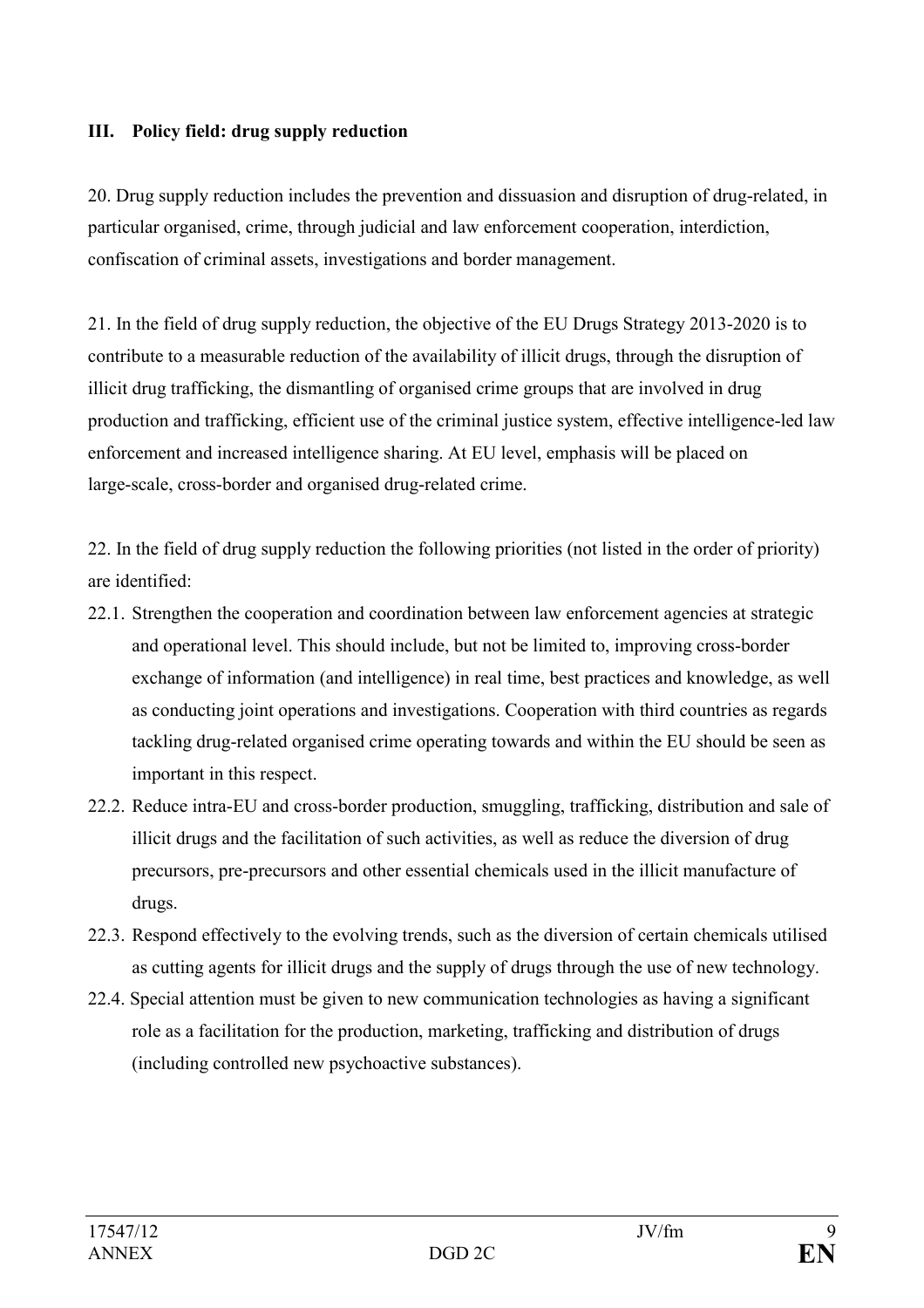#### **III. Policy field: drug supply reduction**

20. Drug supply reduction includes the prevention and dissuasion and disruption of drug-related, in particular organised, crime, through judicial and law enforcement cooperation, interdiction, confiscation of criminal assets, investigations and border management.

21. In the field of drug supply reduction, the objective of the EU Drugs Strategy 2013-2020 is to contribute to a measurable reduction of the availability of illicit drugs, through the disruption of illicit drug trafficking, the dismantling of organised crime groups that are involved in drug production and trafficking, efficient use of the criminal justice system, effective intelligence-led law enforcement and increased intelligence sharing. At EU level, emphasis will be placed on large-scale, cross-border and organised drug-related crime.

22. In the field of drug supply reduction the following priorities (not listed in the order of priority) are identified:

- 22.1. Strengthen the cooperation and coordination between law enforcement agencies at strategic and operational level. This should include, but not be limited to, improving cross-border exchange of information (and intelligence) in real time, best practices and knowledge, as well as conducting joint operations and investigations. Cooperation with third countries as regards tackling drug-related organised crime operating towards and within the EU should be seen as important in this respect.
- 22.2. Reduce intra-EU and cross-border production, smuggling, trafficking, distribution and sale of illicit drugs and the facilitation of such activities, as well as reduce the diversion of drug precursors, pre-precursors and other essential chemicals used in the illicit manufacture of drugs.
- 22.3. Respond effectively to the evolving trends, such as the diversion of certain chemicals utilised as cutting agents for illicit drugs and the supply of drugs through the use of new technology.
- 22.4. Special attention must be given to new communication technologies as having a significant role as a facilitation for the production, marketing, trafficking and distribution of drugs (including controlled new psychoactive substances).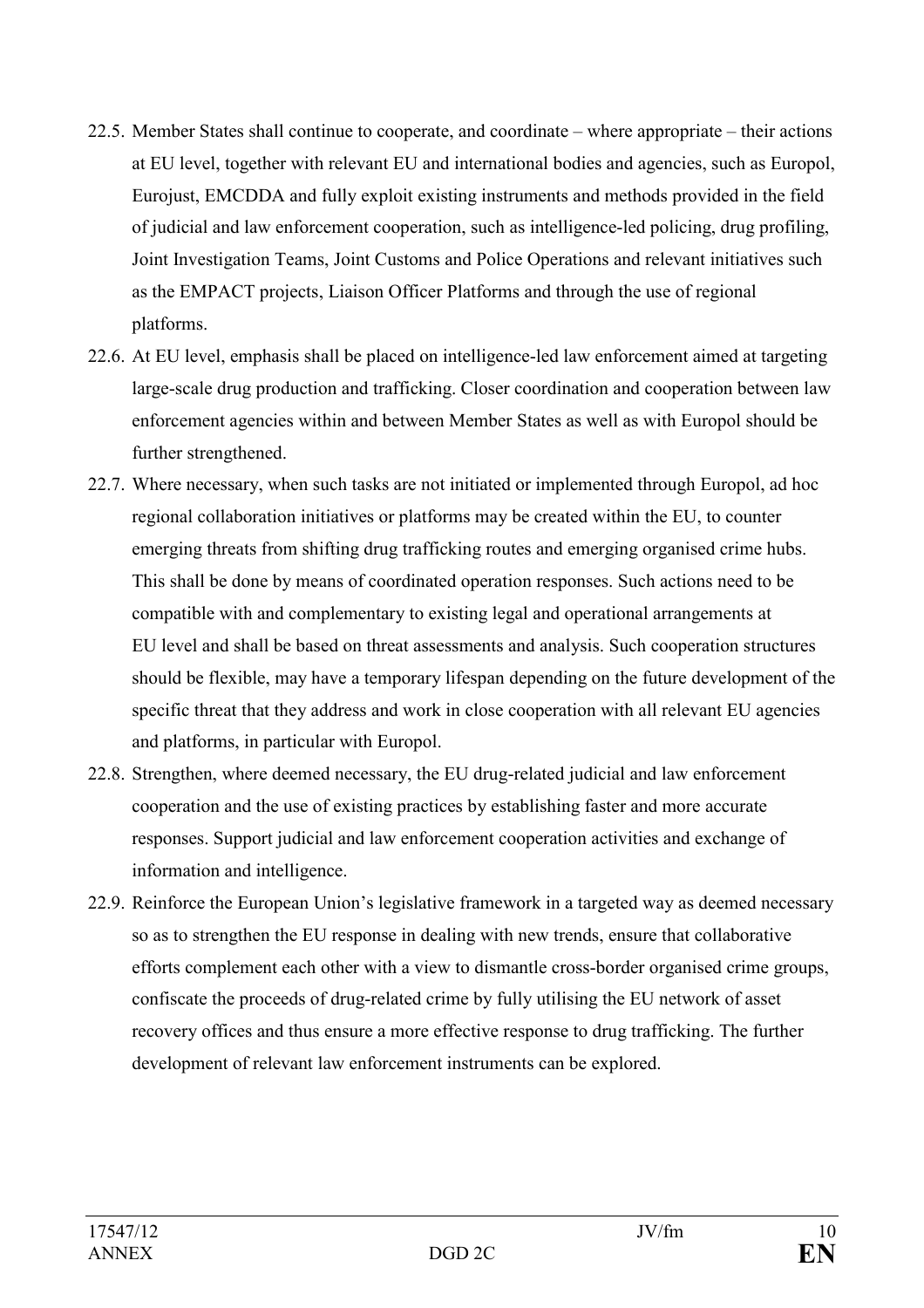- 22.5. Member States shall continue to cooperate, and coordinate where appropriate their actions at EU level, together with relevant EU and international bodies and agencies, such as Europol, Eurojust, EMCDDA and fully exploit existing instruments and methods provided in the field of judicial and law enforcement cooperation, such as intelligence-led policing, drug profiling, Joint Investigation Teams, Joint Customs and Police Operations and relevant initiatives such as the EMPACT projects, Liaison Officer Platforms and through the use of regional platforms.
- 22.6. At EU level, emphasis shall be placed on intelligence-led law enforcement aimed at targeting large-scale drug production and trafficking. Closer coordination and cooperation between law enforcement agencies within and between Member States as well as with Europol should be further strengthened.
- 22.7. Where necessary, when such tasks are not initiated or implemented through Europol, ad hoc regional collaboration initiatives or platforms may be created within the EU, to counter emerging threats from shifting drug trafficking routes and emerging organised crime hubs. This shall be done by means of coordinated operation responses. Such actions need to be compatible with and complementary to existing legal and operational arrangements at EU level and shall be based on threat assessments and analysis. Such cooperation structures should be flexible, may have a temporary lifespan depending on the future development of the specific threat that they address and work in close cooperation with all relevant EU agencies and platforms, in particular with Europol.
- 22.8. Strengthen, where deemed necessary, the EU drug-related judicial and law enforcement cooperation and the use of existing practices by establishing faster and more accurate responses. Support judicial and law enforcement cooperation activities and exchange of information and intelligence.
- 22.9. Reinforce the European Union's legislative framework in a targeted way as deemed necessary so as to strengthen the EU response in dealing with new trends, ensure that collaborative efforts complement each other with a view to dismantle cross-border organised crime groups, confiscate the proceeds of drug-related crime by fully utilising the EU network of asset recovery offices and thus ensure a more effective response to drug trafficking. The further development of relevant law enforcement instruments can be explored.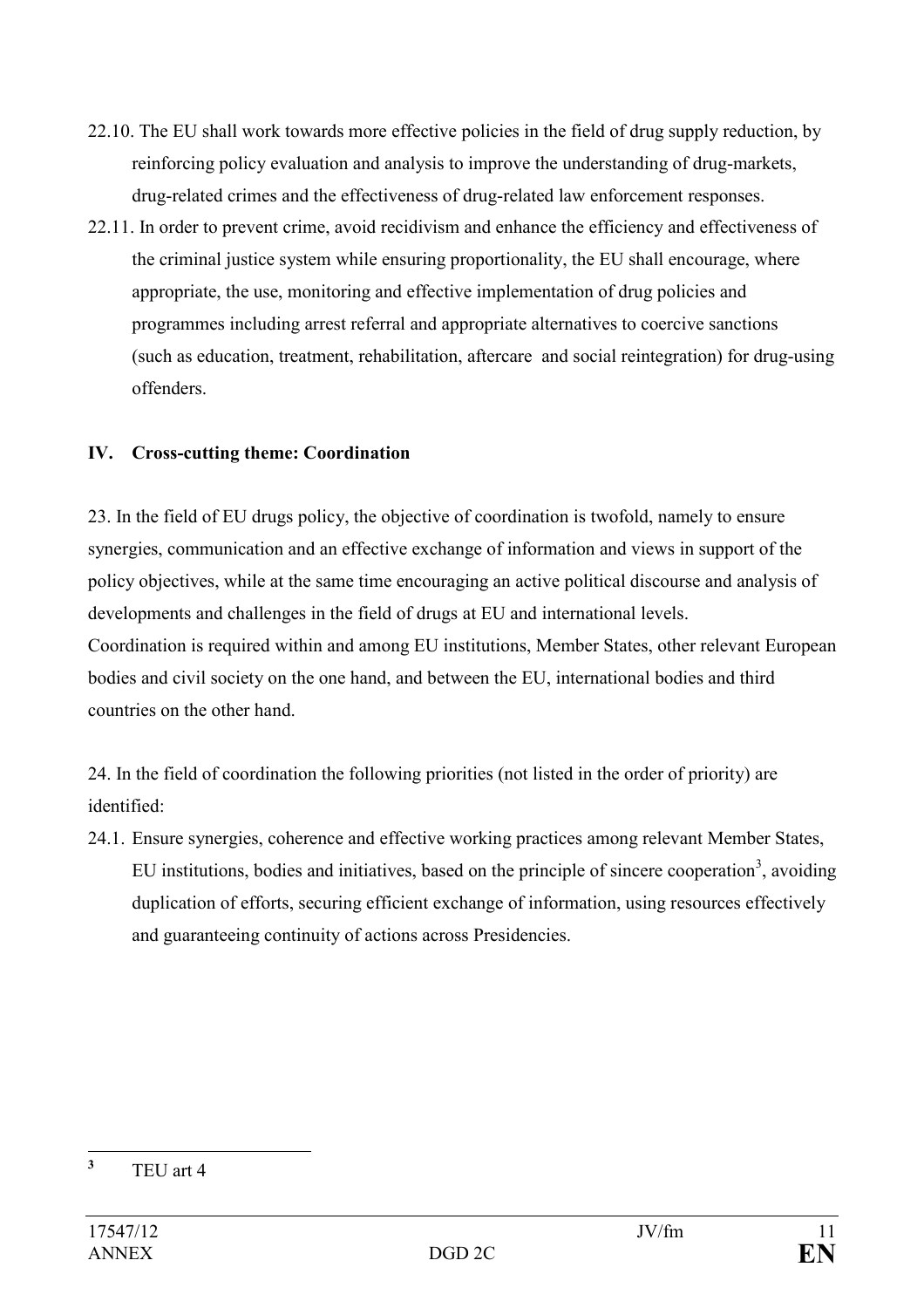- 22.10. The EU shall work towards more effective policies in the field of drug supply reduction, by reinforcing policy evaluation and analysis to improve the understanding of drug-markets, drug-related crimes and the effectiveness of drug-related law enforcement responses.
- 22.11. In order to prevent crime, avoid recidivism and enhance the efficiency and effectiveness of the criminal justice system while ensuring proportionality, the EU shall encourage, where appropriate, the use, monitoring and effective implementation of drug policies and programmes including arrest referral and appropriate alternatives to coercive sanctions (such as education, treatment, rehabilitation, aftercare and social reintegration) for drug-using offenders.

## **IV. Cross-cutting theme: Coordination**

23. In the field of EU drugs policy, the objective of coordination is twofold, namely to ensure synergies, communication and an effective exchange of information and views in support of the policy objectives, while at the same time encouraging an active political discourse and analysis of developments and challenges in the field of drugs at EU and international levels. Coordination is required within and among EU institutions, Member States, other relevant European bodies and civil society on the one hand, and between the EU, international bodies and third countries on the other hand.

24. In the field of coordination the following priorities (not listed in the order of priority) are identified:

24.1. Ensure synergies, coherence and effective working practices among relevant Member States, EU institutions, bodies and initiatives, based on the principle of sincere cooperation<sup>3</sup>, avoiding duplication of efforts, securing efficient exchange of information, using resources effectively and guaranteeing continuity of actions across Presidencies.

 **3** TEU art 4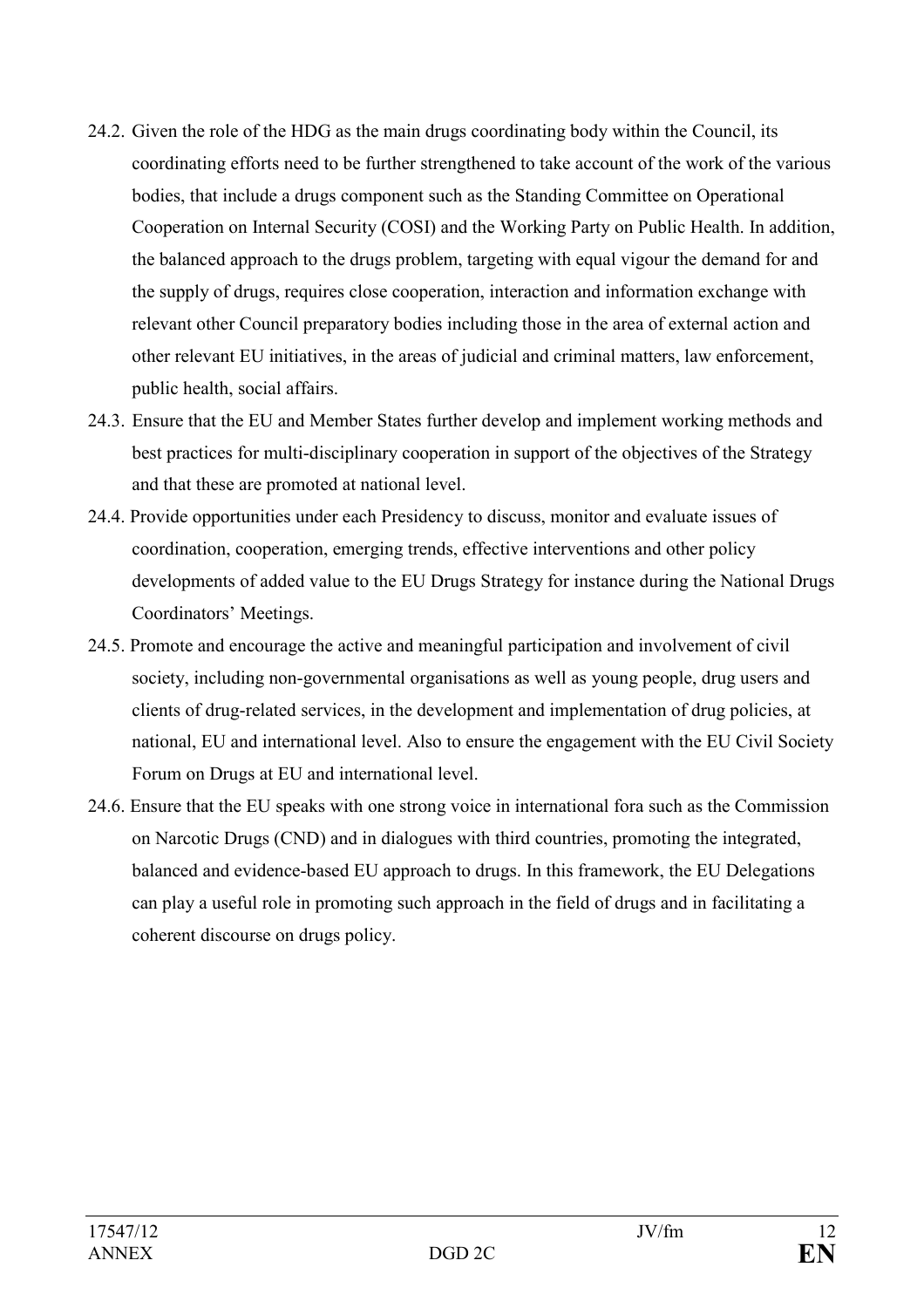- 24.2. Given the role of the HDG as the main drugs coordinating body within the Council, its coordinating efforts need to be further strengthened to take account of the work of the various bodies, that include a drugs component such as the Standing Committee on Operational Cooperation on Internal Security (COSI) and the Working Party on Public Health. In addition, the balanced approach to the drugs problem, targeting with equal vigour the demand for and the supply of drugs, requires close cooperation, interaction and information exchange with relevant other Council preparatory bodies including those in the area of external action and other relevant EU initiatives, in the areas of judicial and criminal matters, law enforcement, public health, social affairs.
- 24.3. Ensure that the EU and Member States further develop and implement working methods and best practices for multi-disciplinary cooperation in support of the objectives of the Strategy and that these are promoted at national level.
- 24.4. Provide opportunities under each Presidency to discuss, monitor and evaluate issues of coordination, cooperation, emerging trends, effective interventions and other policy developments of added value to the EU Drugs Strategy for instance during the National Drugs Coordinators' Meetings.
- 24.5. Promote and encourage the active and meaningful participation and involvement of civil society, including non-governmental organisations as well as young people, drug users and clients of drug-related services, in the development and implementation of drug policies, at national, EU and international level. Also to ensure the engagement with the EU Civil Society Forum on Drugs at EU and international level.
- 24.6. Ensure that the EU speaks with one strong voice in international fora such as the Commission on Narcotic Drugs (CND) and in dialogues with third countries, promoting the integrated, balanced and evidence-based EU approach to drugs. In this framework, the EU Delegations can play a useful role in promoting such approach in the field of drugs and in facilitating a coherent discourse on drugs policy.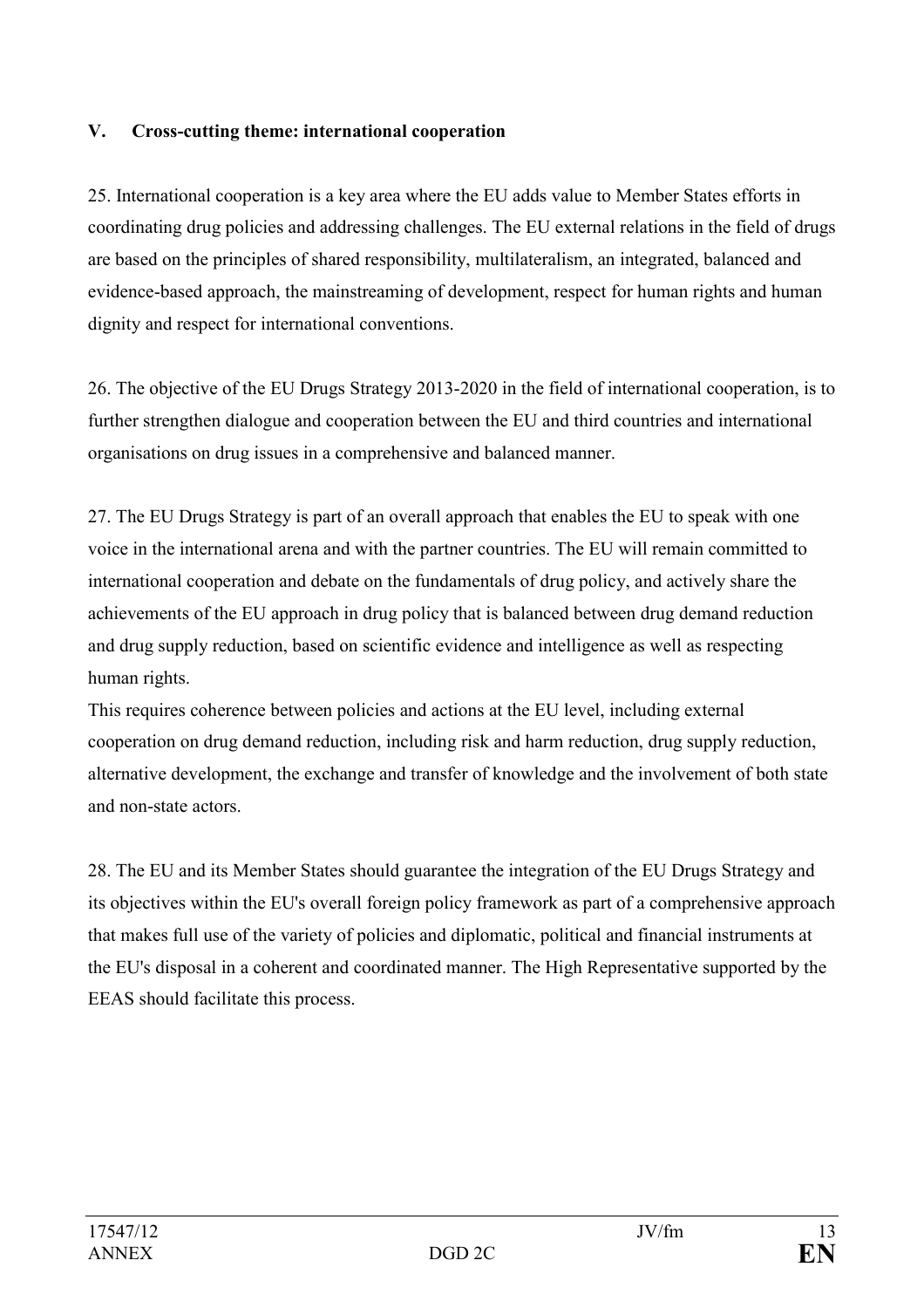#### **V. Cross-cutting theme: international cooperation**

25. International cooperation is a key area where the EU adds value to Member States efforts in coordinating drug policies and addressing challenges. The EU external relations in the field of drugs are based on the principles of shared responsibility, multilateralism, an integrated, balanced and evidence-based approach, the mainstreaming of development, respect for human rights and human dignity and respect for international conventions.

26. The objective of the EU Drugs Strategy 2013-2020 in the field of international cooperation, is to further strengthen dialogue and cooperation between the EU and third countries and international organisations on drug issues in a comprehensive and balanced manner.

27. The EU Drugs Strategy is part of an overall approach that enables the EU to speak with one voice in the international arena and with the partner countries. The EU will remain committed to international cooperation and debate on the fundamentals of drug policy, and actively share the achievements of the EU approach in drug policy that is balanced between drug demand reduction and drug supply reduction, based on scientific evidence and intelligence as well as respecting human rights.

This requires coherence between policies and actions at the EU level, including external cooperation on drug demand reduction, including risk and harm reduction, drug supply reduction, alternative development, the exchange and transfer of knowledge and the involvement of both state and non-state actors.

28. The EU and its Member States should guarantee the integration of the EU Drugs Strategy and its objectives within the EU's overall foreign policy framework as part of a comprehensive approach that makes full use of the variety of policies and diplomatic, political and financial instruments at the EU's disposal in a coherent and coordinated manner. The High Representative supported by the EEAS should facilitate this process.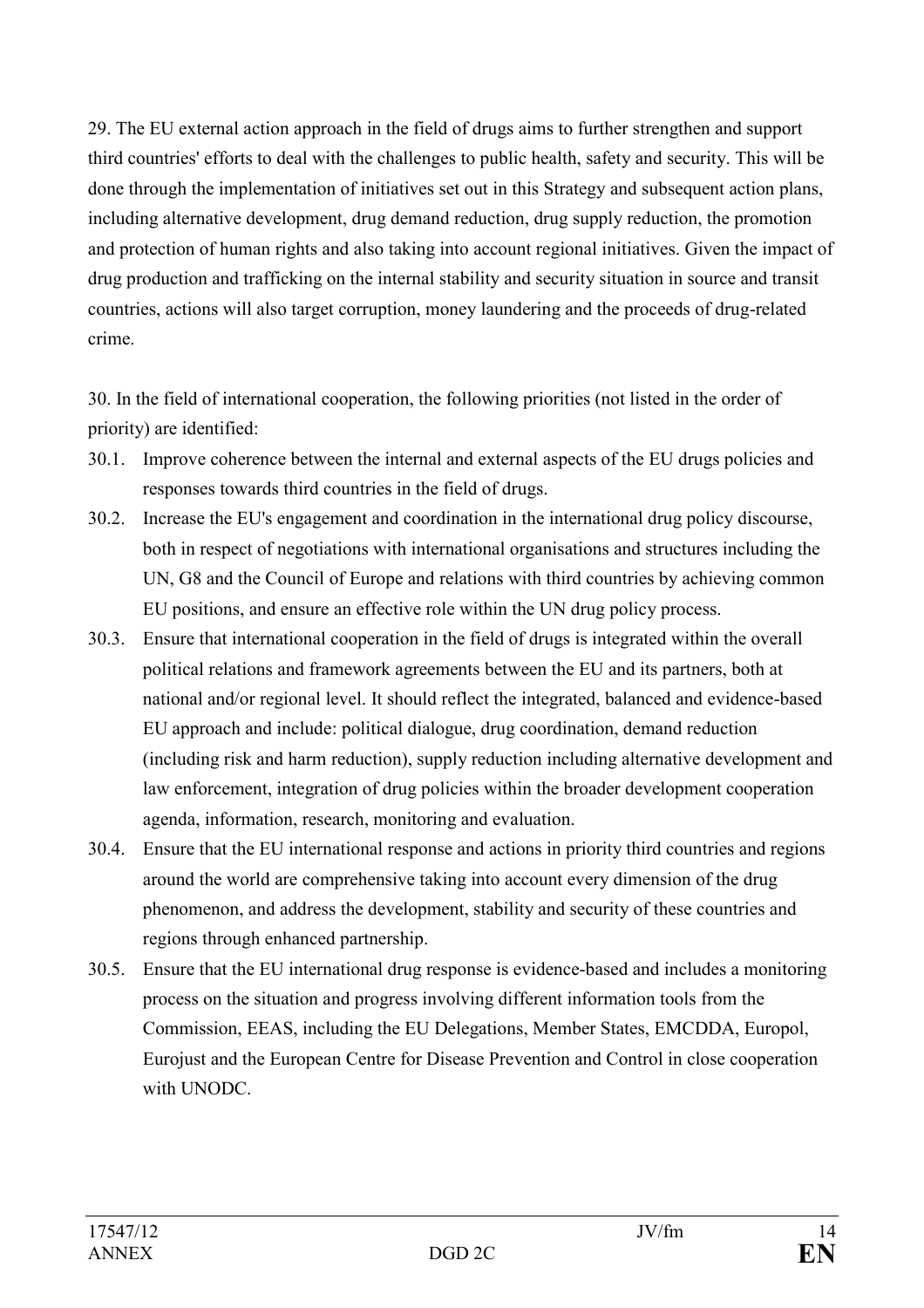29. The EU external action approach in the field of drugs aims to further strengthen and support third countries' efforts to deal with the challenges to public health, safety and security. This will be done through the implementation of initiatives set out in this Strategy and subsequent action plans, including alternative development, drug demand reduction, drug supply reduction, the promotion and protection of human rights and also taking into account regional initiatives. Given the impact of drug production and trafficking on the internal stability and security situation in source and transit countries, actions will also target corruption, money laundering and the proceeds of drug-related crime.

30. In the field of international cooperation, the following priorities (not listed in the order of priority) are identified:

- 30.1. Improve coherence between the internal and external aspects of the EU drugs policies and responses towards third countries in the field of drugs.
- 30.2. Increase the EU's engagement and coordination in the international drug policy discourse, both in respect of negotiations with international organisations and structures including the UN, G8 and the Council of Europe and relations with third countries by achieving common EU positions, and ensure an effective role within the UN drug policy process.
- 30.3. Ensure that international cooperation in the field of drugs is integrated within the overall political relations and framework agreements between the EU and its partners, both at national and/or regional level. It should reflect the integrated, balanced and evidence-based EU approach and include: political dialogue, drug coordination, demand reduction (including risk and harm reduction), supply reduction including alternative development and law enforcement, integration of drug policies within the broader development cooperation agenda, information, research, monitoring and evaluation.
- 30.4. Ensure that the EU international response and actions in priority third countries and regions around the world are comprehensive taking into account every dimension of the drug phenomenon, and address the development, stability and security of these countries and regions through enhanced partnership.
- 30.5. Ensure that the EU international drug response is evidence-based and includes a monitoring process on the situation and progress involving different information tools from the Commission, EEAS, including the EU Delegations, Member States, EMCDDA, Europol, Eurojust and the European Centre for Disease Prevention and Control in close cooperation with UNODC.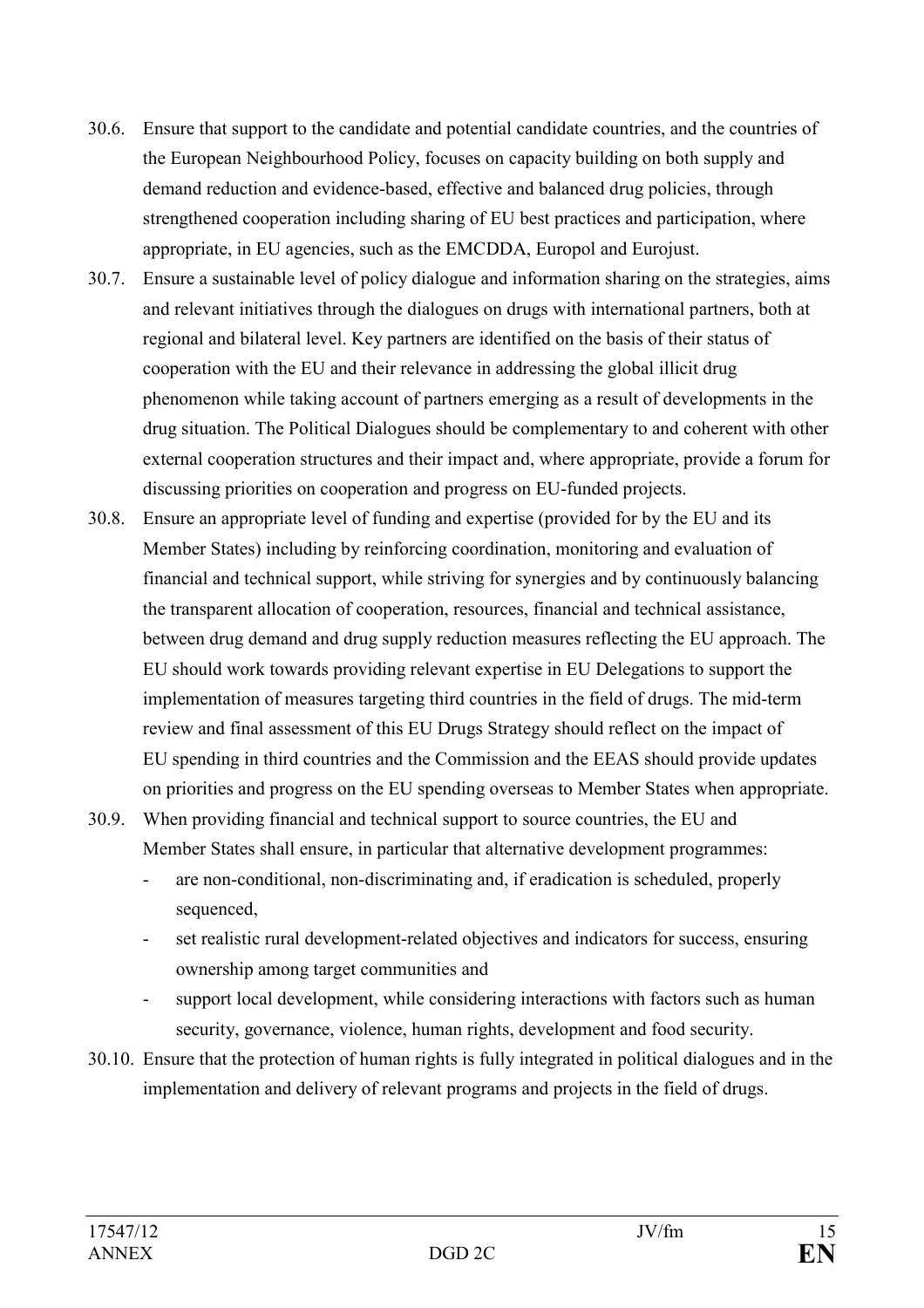- 30.6. Ensure that support to the candidate and potential candidate countries, and the countries of the European Neighbourhood Policy, focuses on capacity building on both supply and demand reduction and evidence-based, effective and balanced drug policies, through strengthened cooperation including sharing of EU best practices and participation, where appropriate, in EU agencies, such as the EMCDDA, Europol and Eurojust.
- 30.7. Ensure a sustainable level of policy dialogue and information sharing on the strategies, aims and relevant initiatives through the dialogues on drugs with international partners, both at regional and bilateral level. Key partners are identified on the basis of their status of cooperation with the EU and their relevance in addressing the global illicit drug phenomenon while taking account of partners emerging as a result of developments in the drug situation. The Political Dialogues should be complementary to and coherent with other external cooperation structures and their impact and, where appropriate, provide a forum for discussing priorities on cooperation and progress on EU-funded projects.
- 30.8. Ensure an appropriate level of funding and expertise (provided for by the EU and its Member States) including by reinforcing coordination, monitoring and evaluation of financial and technical support, while striving for synergies and by continuously balancing the transparent allocation of cooperation, resources, financial and technical assistance, between drug demand and drug supply reduction measures reflecting the EU approach. The EU should work towards providing relevant expertise in EU Delegations to support the implementation of measures targeting third countries in the field of drugs. The mid-term review and final assessment of this EU Drugs Strategy should reflect on the impact of EU spending in third countries and the Commission and the EEAS should provide updates on priorities and progress on the EU spending overseas to Member States when appropriate.
- 30.9. When providing financial and technical support to source countries, the EU and Member States shall ensure, in particular that alternative development programmes:
	- are non-conditional, non-discriminating and, if eradication is scheduled, properly sequenced,
	- set realistic rural development-related objectives and indicators for success, ensuring ownership among target communities and
	- support local development, while considering interactions with factors such as human security, governance, violence, human rights, development and food security.
- 30.10. Ensure that the protection of human rights is fully integrated in political dialogues and in the implementation and delivery of relevant programs and projects in the field of drugs.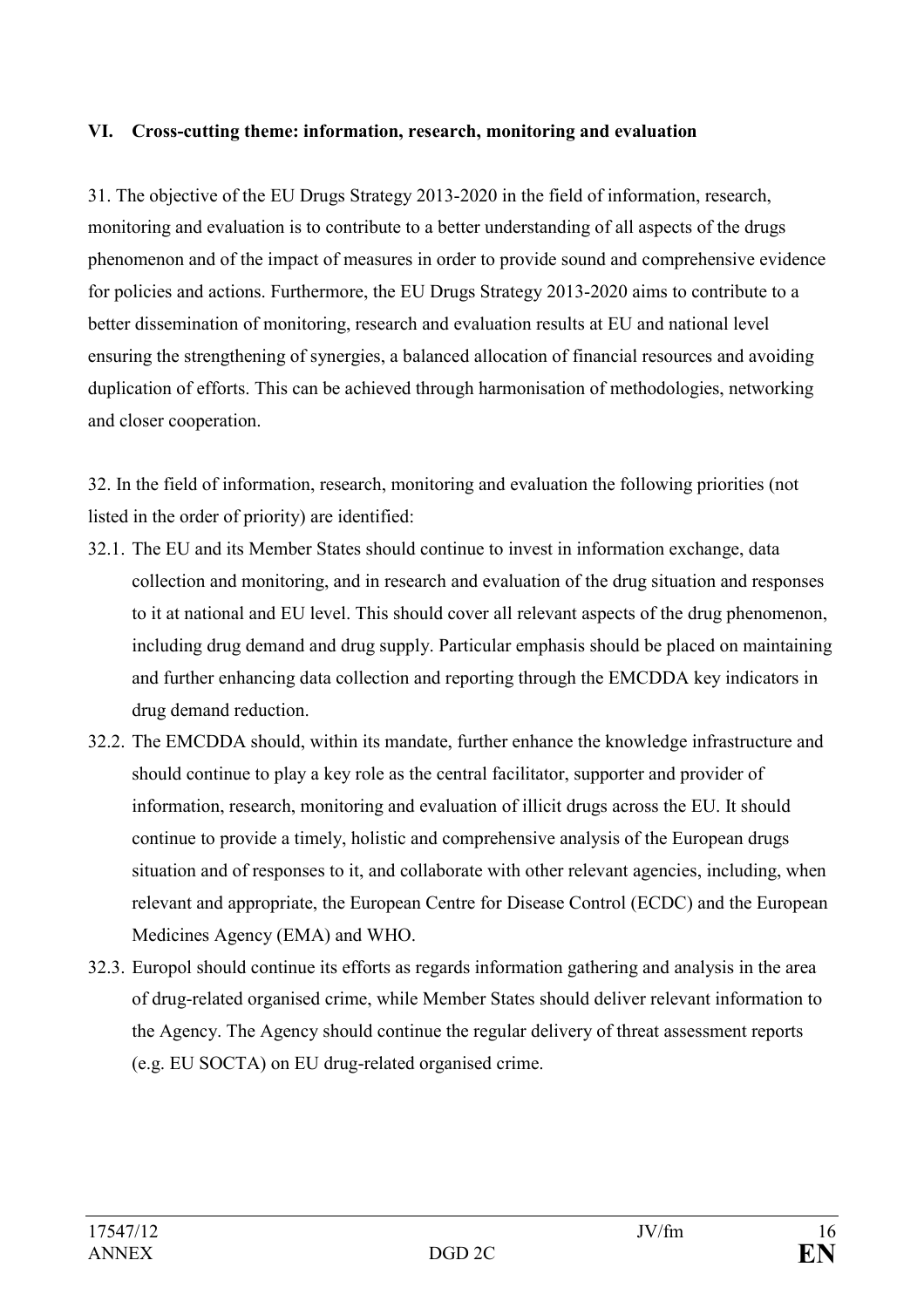#### **VI. Cross-cutting theme: information, research, monitoring and evaluation**

31. The objective of the EU Drugs Strategy 2013-2020 in the field of information, research, monitoring and evaluation is to contribute to a better understanding of all aspects of the drugs phenomenon and of the impact of measures in order to provide sound and comprehensive evidence for policies and actions. Furthermore, the EU Drugs Strategy 2013-2020 aims to contribute to a better dissemination of monitoring, research and evaluation results at EU and national level ensuring the strengthening of synergies, a balanced allocation of financial resources and avoiding duplication of efforts. This can be achieved through harmonisation of methodologies, networking and closer cooperation.

32. In the field of information, research, monitoring and evaluation the following priorities (not listed in the order of priority) are identified:

- 32.1. The EU and its Member States should continue to invest in information exchange, data collection and monitoring, and in research and evaluation of the drug situation and responses to it at national and EU level. This should cover all relevant aspects of the drug phenomenon, including drug demand and drug supply. Particular emphasis should be placed on maintaining and further enhancing data collection and reporting through the EMCDDA key indicators in drug demand reduction.
- 32.2. The EMCDDA should, within its mandate, further enhance the knowledge infrastructure and should continue to play a key role as the central facilitator, supporter and provider of information, research, monitoring and evaluation of illicit drugs across the EU. It should continue to provide a timely, holistic and comprehensive analysis of the European drugs situation and of responses to it, and collaborate with other relevant agencies, including, when relevant and appropriate, the European Centre for Disease Control (ECDC) and the European Medicines Agency (EMA) and WHO.
- 32.3. Europol should continue its efforts as regards information gathering and analysis in the area of drug-related organised crime, while Member States should deliver relevant information to the Agency. The Agency should continue the regular delivery of threat assessment reports (e.g. EU SOCTA) on EU drug-related organised crime.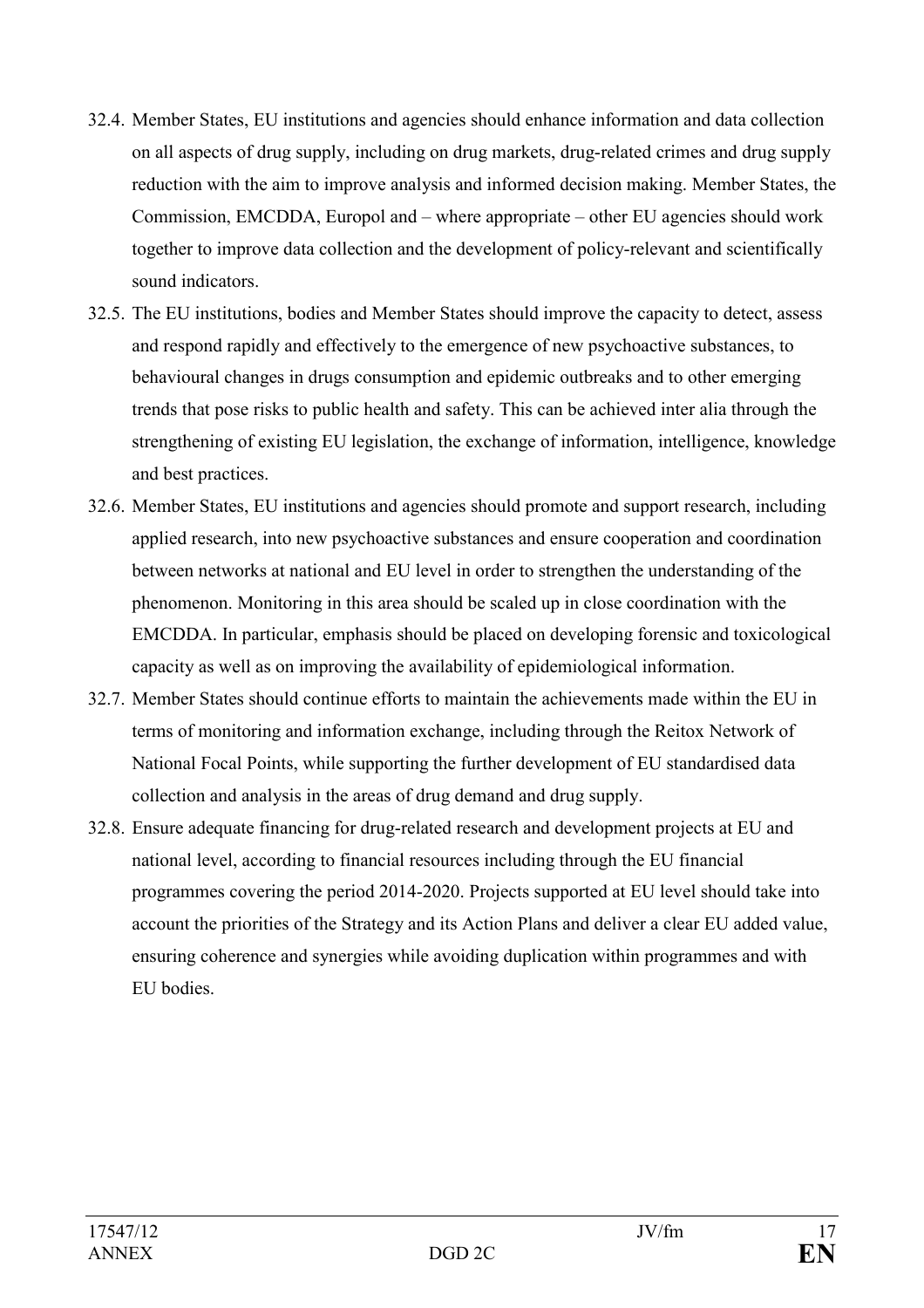- 32.4. Member States, EU institutions and agencies should enhance information and data collection on all aspects of drug supply, including on drug markets, drug-related crimes and drug supply reduction with the aim to improve analysis and informed decision making. Member States, the Commission, EMCDDA, Europol and – where appropriate – other EU agencies should work together to improve data collection and the development of policy-relevant and scientifically sound indicators.
- 32.5. The EU institutions, bodies and Member States should improve the capacity to detect, assess and respond rapidly and effectively to the emergence of new psychoactive substances, to behavioural changes in drugs consumption and epidemic outbreaks and to other emerging trends that pose risks to public health and safety. This can be achieved inter alia through the strengthening of existing EU legislation, the exchange of information, intelligence, knowledge and best practices.
- 32.6. Member States, EU institutions and agencies should promote and support research, including applied research, into new psychoactive substances and ensure cooperation and coordination between networks at national and EU level in order to strengthen the understanding of the phenomenon. Monitoring in this area should be scaled up in close coordination with the EMCDDA. In particular, emphasis should be placed on developing forensic and toxicological capacity as well as on improving the availability of epidemiological information.
- 32.7. Member States should continue efforts to maintain the achievements made within the EU in terms of monitoring and information exchange, including through the Reitox Network of National Focal Points, while supporting the further development of EU standardised data collection and analysis in the areas of drug demand and drug supply.
- 32.8. Ensure adequate financing for drug-related research and development projects at EU and national level, according to financial resources including through the EU financial programmes covering the period 2014-2020. Projects supported at EU level should take into account the priorities of the Strategy and its Action Plans and deliver a clear EU added value, ensuring coherence and synergies while avoiding duplication within programmes and with EU bodies.